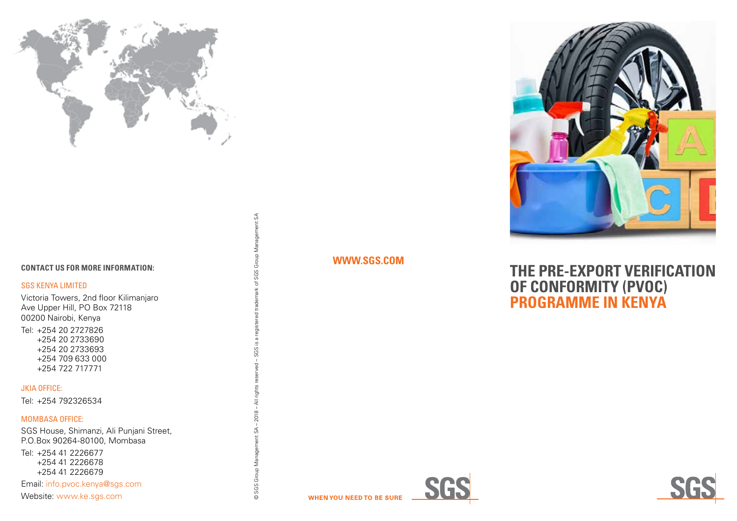

#### **CONTACT US FOR MORE INFORMATION:**

#### SGS KENYA LIMITED

Victoria Towers, 2nd floor Kilimanjaro Ave Upper Hill, PO Box 72118 00200 Nairobi, Kenya Tel: +254 20 2727826

+254 20 2733690 +254 20 2733693 +254 709 633 000 +254 722 717771

### JKIA OFFICE:

Tel : +254 792326534

#### MOMBASA OFFICE:

SGS House, Shimanzi, Ali Punjani Street, P.O.Box 90264-80100, Mombasa

Tel: +254 41 2226677 +254 41 2226678 +254 41 2226679

Email: [info.pvoc.kenya@sgs.com](mailto:info.pvoc.kenya%40sgs.com?subject=) Website: [www.ke.sgs.com](http://www.ke.sgs.com)

of SGS Group Management SA  $-$  SGS is a © SGS Group Management SA - 2018 - All rights

© SGS Group Management SA – 2018 – All rights reserved – SGS is a registered trademark of SGS Group Management SA

-<br>g

a registered trademark

## **[WWW.SGS.COM](http://WWW.SGS.COM)**



**IMAGE PLACE** 

# **THE PRE-EXPORT VERIFICATION OF CONFORMITY (PVOC) PROGRAMME IN KENYA**



**WHEN YOU NEED TO BE SURE**